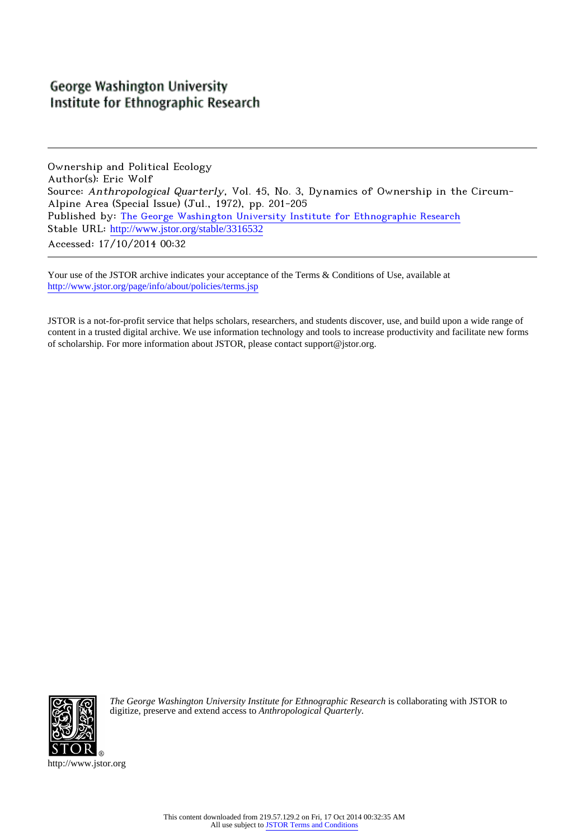# **George Washington University** Institute for Ethnographic Research

Ownership and Political Ecology Author(s): Eric Wolf Source: Anthropological Quarterly, Vol. 45, No. 3, Dynamics of Ownership in the Circum-Alpine Area (Special Issue) (Jul., 1972), pp. 201-205 Published by: [The George Washington University Institute for Ethnographic Research](http://www.jstor.org/action/showPublisher?publisherCode=ifer) Stable URL: [http://www.jstor.org/stable/3316532](http://www.jstor.org/stable/3316532?origin=JSTOR-pdf) Accessed: 17/10/2014 00:32

Your use of the JSTOR archive indicates your acceptance of the Terms & Conditions of Use, available at <http://www.jstor.org/page/info/about/policies/terms.jsp>

JSTOR is a not-for-profit service that helps scholars, researchers, and students discover, use, and build upon a wide range of content in a trusted digital archive. We use information technology and tools to increase productivity and facilitate new forms of scholarship. For more information about JSTOR, please contact support@jstor.org.



*The George Washington University Institute for Ethnographic Research* is collaborating with JSTOR to digitize, preserve and extend access to *Anthropological Quarterly.*

http://www.jstor.org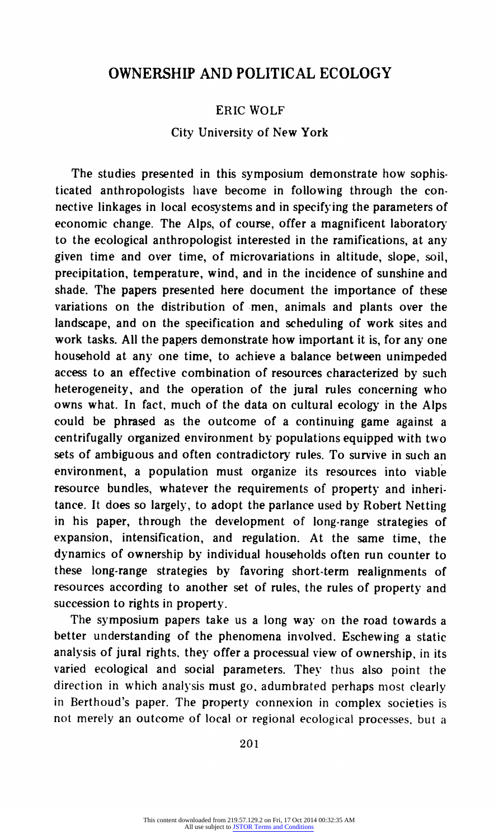# **OWNERSHIP AND POLITICAL ECOLOGY**

## **ERIC WOLF**

### **City University of New York**

**The studies presented in this symposium demonstrate how sophisticated anthropologists have become in following through the connective linkages in local ecosystems and in specifying the parameters of economic change. The Alps, of course, offer a magnificent laboratory to the ecological anthropologist interested in the ramifications, at any given time and over time, of microvariations in altitude, slope, soil, precipitation, temperature, wind, and in the incidence of sunshine and shade. The papers presented here document the importance of these variations on the distribution of men, animals and plants over the landscape, and on the specification and scheduling of work sites and work tasks. All the papers demonstrate how important it is, for any one household at any one time, to achieve a balance between unimpeded access to an effective combination of resources characterized by such heterogeneity, and the operation of the jural rules concerning who owns what. In fact, much of the data on cultural ecology in the Alps could be phrased as the outcome of a continuing game against a centrifugally organized environment by populations equipped with two sets of ambiguous and often contradictory rules. To survive in such an environment, a population must organize its resources into viable resource bundles, whatever the requirements of property and inheritance. It does so largely, to adopt the parlance used by Robert Netting in his paper, through the development of long-range strategies of expansion, intensification, and regulation. At the same time, the dynamics of ownership by individual households often run counter to these long-range strategies by favoring short-term realignments of resources according to another set of rules, the rules of property and succession to rights in property.** 

**The symposium papers take us a long way on the road towards a better understanding of the phenomena involved. Eschewing a static analysis of jural rights, they offer a processual view of ownership, in its varied ecological and social parameters. They thus also point the direction in which analysis must go, adumbrated perhaps most clearly in Berthoud's paper. The property connexion in complex societies is not merely an outcome of local or regional ecological processes. but a** 

**201**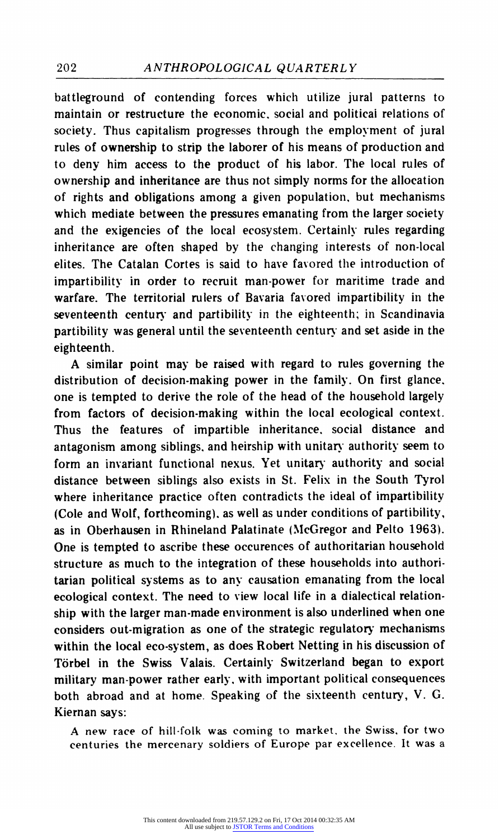**battleground of contending forces which utilize jural patterns to maintain or restructure the economic, social and political relations of society. Thus capitalism progresses through the employment of jural rules of ownership to strip the laborer of his means of production and to deny him access to the product of his labor. The local rules of ownership and inheritance are thus not simply norms for the allocation of rights and obligations among a given population, but mechanisms which mediate between the pressures emanating from the larger society and the exigencies of the local ecosystem. Certainly rules regarding inheritance are often shaped by the changing interests of non-local elites. The Catalan Cortes is said to have favored the introduction of impartibility in order to recruit man-power for maritime trade and warfare. The territorial rulers of Bavaria favored impartibility in the seventeenth century and partibility in the eighteenth; in Scandinavia partibility was general until the seventeenth century and set aside in the eighteenth.** 

**A similar point may be raised with regard to rules governing the distribution of decision-making power in the family. On first glance. one is tempted to derive the role of the head of the household largely from factors of decision-making within the local ecological context. Thus the features of impartible inheritance, social distance and antagonism among siblings, and heirship with unitary authority seem to form an invariant functional nexus. Yet unitary authority and social distance between siblings also exists in St. Felix in the South Tyrol where inheritance practice often contradicts the ideal of impartibility (Cole and Wolf, forthcoming). as well as under conditions of partibility, as in Oberhausen in Rhineland Palatinate (McGregor and Pelto 1963). One is tempted to ascribe these occurences of authoritarian household structure as much to the integration of these households into authoritarian political systems as to any causation emanating from the local ecological context. The need to view local life in a dialectical relationship with the larger man-made environment is also underlined when one considers out-migration as one of the strategic regulatory mechanisms within the local eco-system, as does Robert Netting in his discussion of Torbel in the Swiss Valais. Certainly Switzerland began to export military man-power rather early. with important political consequences both abroad and at home. Speaking of the sixteenth century, V. G. Kiernan says:** 

**A new race of hill-folk was coming to market, the Swiss, for two centuries the mercenary soldiers of Europe par excellence. It was a**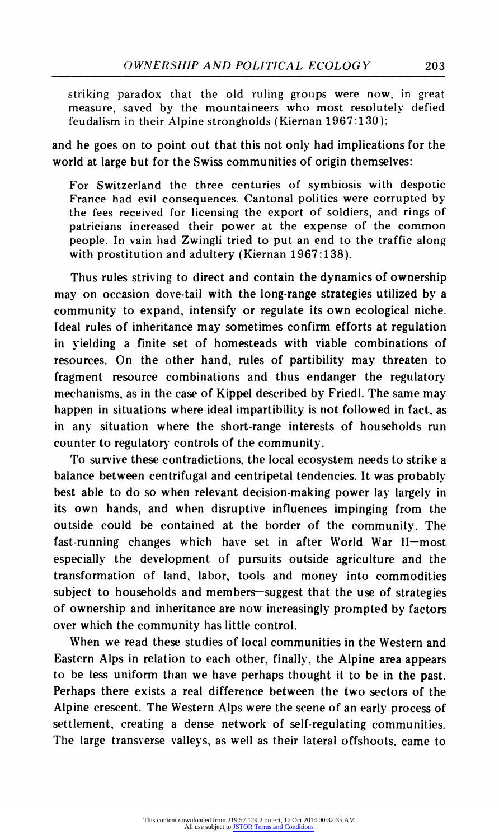**striking paradox that the old ruling groups were now, in great measure, saved by the mountaineers who most resolutely defied feudalism in their Alpine strongholds (Kiernan 1967:130);** 

**and he goes on to point out that this not only had implications for the world at large but for the Swiss communities of origin themselves:** 

**For Switzerland the three centuries of symbiosis with despotic France had evil consequences. Cantonal politics were corrupted by the fees received for licensing the export of soldiers, and rings of patricians increased their power at the expense of the common people. In vain had Zwingli tried to put an end to the traffic along with prostitution and adultery (Kiernan 1967:138).** 

**Thus rules striving to direct and contain the dynamics of ownership may on occasion dove-tail with the long-range strategies utilized by a community to expand, intensify or regulate its own ecological niche. Ideal rules of inheritance may sometimes confirm efforts at regulation in yielding a finite set of homesteads with viable combinations of resources. On the other hand, rules of partibility may threaten to fragment resource combinations and thus endanger the regulatory mechanisms, as in the case of Kippel described by Friedl. The same may happen in situations where ideal impartibility is not followed in fact, as in any situation where the short-range interests of households run counter to regulatory controls of the community.** 

**To survive these contradictions, the local ecosystem needs to strike a balance between centrifugal and centripetal tendencies. It was probably best able to do so when relevant decision-making power lay largely in its own hands, and when disruptive influences impinging from the outside could be contained at the border of the community. The**  fast-running changes which have set in after World War II-most **especially the development of pursuits outside agriculture and the transformation of land, labor, tools and money into commodities**  subject to households and members-suggest that the use of strategies **of ownership and inheritance are now increasingly prompted by factors over which the community has little control.** 

**When we read these studies of local communities in the Western and Eastern Alps in relation to each other, finally, the Alpine area appears to be less uniform than we have perhaps thought it to be in the past. Perhaps there exists a real difference between the two sectors of the Alpine crescent. The Western Alps were the scene of an early process of settlement, creating a dense network of self-regulating communities. The large transverse valleys, as well as their lateral offshoots, came to**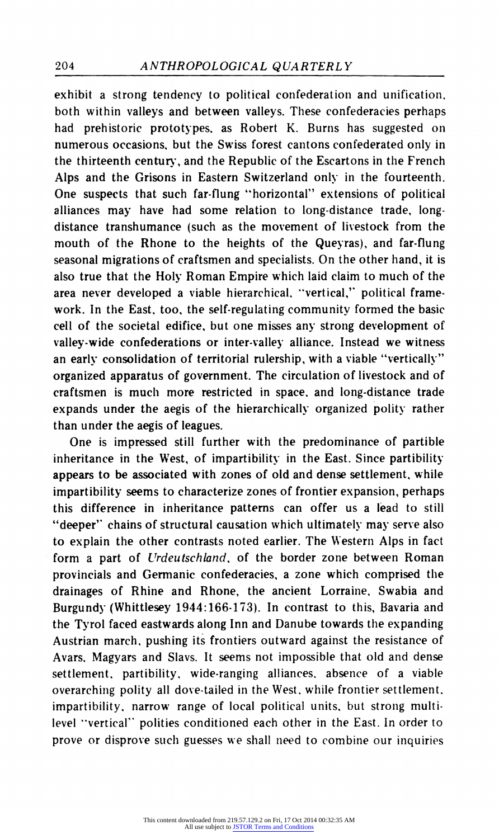**exhibit a strong tendency to political confederation and unification. both within valleys and between valleys. These confederacies perhaps had prehistoric prototypes. as Robert K. Burns has suggested on numerous occasions, but the Swiss forest cantons confederated only in the thirteenth century, and the Republic of the Escartons in the French Alps and the Grisons in Eastern Switzerland only in the fourteenth. One suspects that such far-flung "horizontal" extensions of political alliances may have had some relation to long-distance trade, longdistance transhumance (such as the movement of livestock from the mouth of the Rhone to the heights of the Queyras), and far-flung seasonal migrations of craftsmen and specialists. On the other hand, it is also true that the Holy Roman Empire which laid claim to much of the area never developed a viable hierarchical. "vertical," political framework. In the East, too, the self-regulating community formed the basic cell of the societal edifice, but one misses any strong development of valley-wide confederations or inter-valley alliance. Instead we witness an early consolidation of territorial rulership, with a viable "vertically" organized apparatus of government. The circulation of livestock and of craftsmen is much more restricted in space, and long-distance trade expands under the aegis of the hierarchically organized polity rather than under the aegis of leagues.** 

**One is impressed still further with the predominance of partible inheritance in the West, of impartibility in the East. Since partibility appears to be associated with zones of old and dense settlement, while impartibility seems to characterize zones of frontier expansion, perhaps this difference in inheritance patterns can offer us a lead to still "deeper" chains of structural causation which ultimately may serve also to explain the other contrasts noted earlier. The Western Alps in fact form a part of Urdeutschland, of the border zone between Roman provincials and Germanic confederacies, a zone which comprised the drainages of Rhine and Rhone, the ancient Lorraine, Swabia and Burgundy (Whittlesey 1944:166-173). In contrast to this, Bavaria and the Tyrol faced eastwards along Inn and Danube towards the expanding Austrian march, pushing its frontiers outward against the resistance of Avars. Magyars and Slavs. It seems not impossible that old and dense settlement, partibility, wide-ranging alliances, absence of a viable overarching polity all dove-tailed in the West. while frontier settlement. impartibility. narrow range of local political units, but strong multilevel "vertical" polities conditioned each other in the East. In order to prove or disprove such guesses we shall need to combine our inquiries**